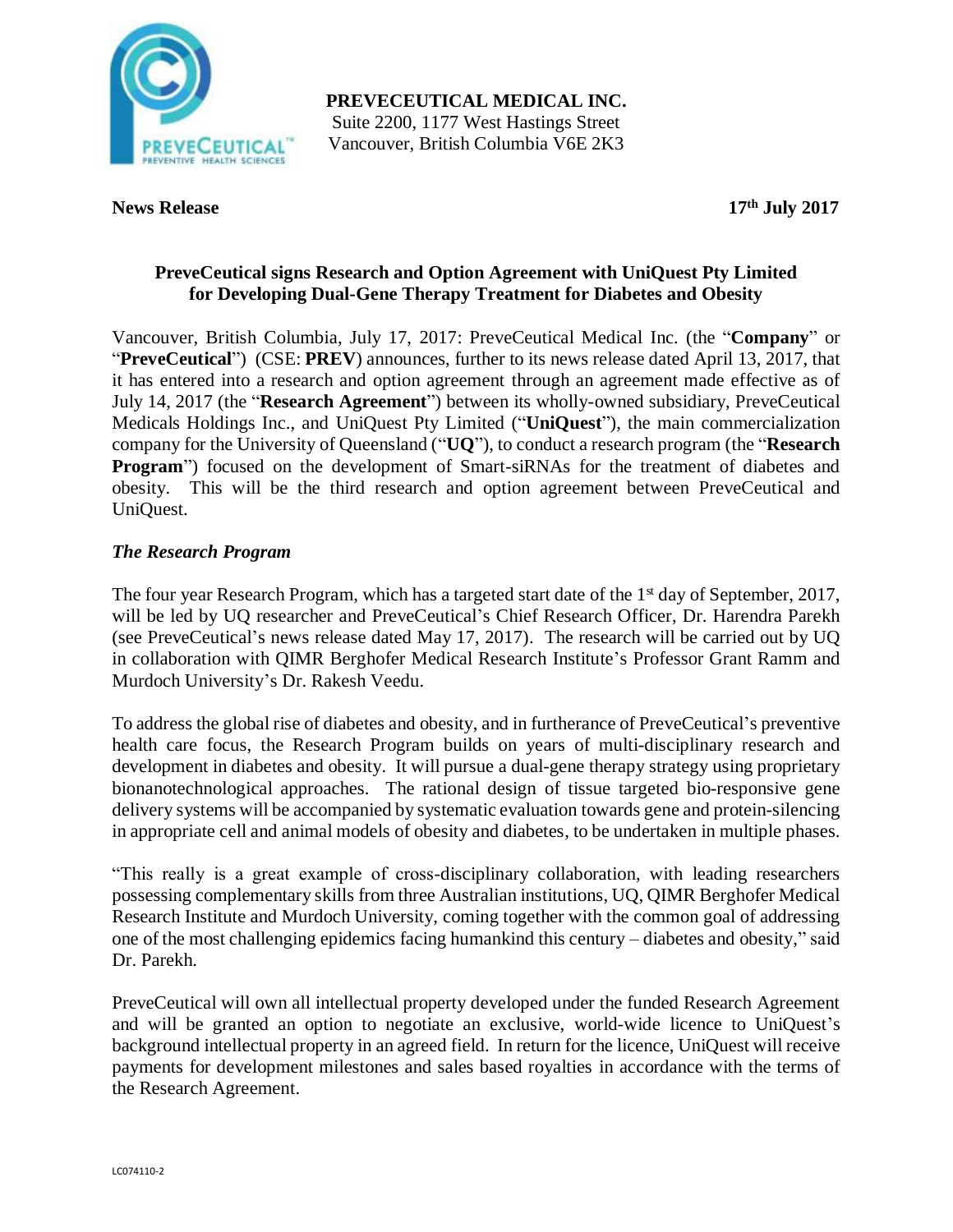

**PREVECEUTICAL MEDICAL INC.** Suite 2200, 1177 West Hastings Street Vancouver, British Columbia V6E 2K3

**News Release 17th July 2017**

# **PreveCeutical signs Research and Option Agreement with UniQuest Pty Limited for Developing Dual-Gene Therapy Treatment for Diabetes and Obesity**

Vancouver, British Columbia, July 17, 2017: PreveCeutical Medical Inc. (the "**Company**" or "**PreveCeutical**") (CSE: **PREV**) announces, further to its news release dated April 13, 2017, that it has entered into a research and option agreement through an agreement made effective as of July 14, 2017 (the "**Research Agreement**") between its wholly-owned subsidiary, PreveCeutical Medicals Holdings Inc., and UniQuest Pty Limited ("**UniQuest**"), the main commercialization company for the University of Queensland ("**UQ**"), to conduct a research program (the "**Research Program**") focused on the development of Smart-siRNAs for the treatment of diabetes and obesity. This will be the third research and option agreement between PreveCeutical and UniQuest.

# *The Research Program*

The four year Research Program, which has a targeted start date of the  $1<sup>st</sup>$  day of September, 2017, will be led by UQ researcher and PreveCeutical's Chief Research Officer, Dr. Harendra Parekh (see PreveCeutical's news release dated May 17, 2017). The research will be carried out by UQ in collaboration with QIMR Berghofer Medical Research Institute's Professor Grant Ramm and Murdoch University's Dr. Rakesh Veedu.

To address the global rise of diabetes and obesity, and in furtherance of PreveCeutical's preventive health care focus, the Research Program builds on years of multi-disciplinary research and development in diabetes and obesity. It will pursue a dual-gene therapy strategy using proprietary bionanotechnological approaches. The rational design of tissue targeted bio-responsive gene delivery systems will be accompanied by systematic evaluation towards gene and protein-silencing in appropriate cell and animal models of obesity and diabetes, to be undertaken in multiple phases.

"This really is a great example of cross-disciplinary collaboration, with leading researchers possessing complementary skills from three Australian institutions, UQ, QIMR Berghofer Medical Research Institute and Murdoch University, coming together with the common goal of addressing one of the most challenging epidemics facing humankind this century – diabetes and obesity," said Dr. Parekh.

PreveCeutical will own all intellectual property developed under the funded Research Agreement and will be granted an option to negotiate an exclusive, world-wide licence to UniQuest's background intellectual property in an agreed field. In return for the licence, UniQuest will receive payments for development milestones and sales based royalties in accordance with the terms of the Research Agreement.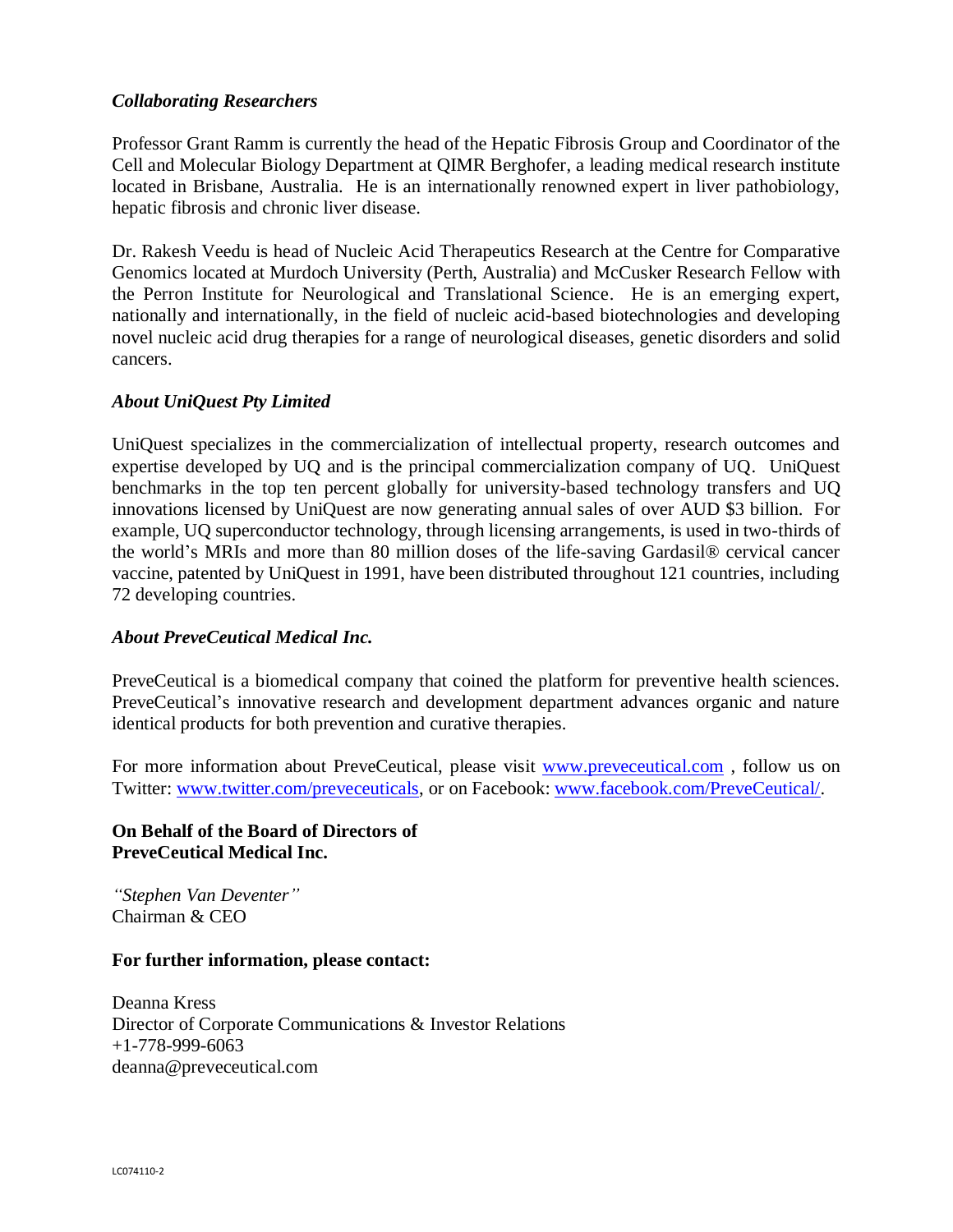### *Collaborating Researchers*

Professor Grant Ramm is currently the head of the Hepatic Fibrosis Group and Coordinator of the Cell and Molecular Biology Department at QIMR Berghofer, a leading medical research institute located in Brisbane, Australia. He is an internationally renowned expert in liver pathobiology, hepatic fibrosis and chronic liver disease.

Dr. Rakesh Veedu is head of Nucleic Acid Therapeutics Research at the Centre for Comparative Genomics located at Murdoch University (Perth, Australia) and McCusker Research Fellow with the Perron Institute for Neurological and Translational Science. He is an emerging expert, nationally and internationally, in the field of nucleic acid-based biotechnologies and developing novel nucleic acid drug therapies for a range of neurological diseases, genetic disorders and solid cancers.

# *About UniQuest Pty Limited*

UniQuest specializes in the commercialization of intellectual property, research outcomes and expertise developed by UQ and is the principal commercialization company of UQ. UniQuest benchmarks in the top ten percent globally for university-based technology transfers and UQ innovations licensed by UniQuest are now generating annual sales of over AUD \$3 billion. For example, UQ superconductor technology, through licensing arrangements, is used in two-thirds of the world's MRIs and more than 80 million doses of the life-saving Gardasil® cervical cancer vaccine, patented by UniQuest in 1991, have been distributed throughout 121 countries, including 72 developing countries.

### *About PreveCeutical Medical Inc.*

PreveCeutical is a biomedical company that coined the platform for preventive health sciences. PreveCeutical's innovative research and development department advances organic and nature identical products for both prevention and curative therapies.

For more information about PreveCeutical, please visit [www.preveceutical.com](http://preveceutical.com/), follow us on Twitter: [www.twitter.com/preveceuticals,](http://www.twitter.com/preveceuticals) or on Facebook: [www.facebook.com/PreveCeutical/.](http://www.facebook.com/PreveCeutical/)

# **On Behalf of the Board of Directors of PreveCeutical Medical Inc.**

*"Stephen Van Deventer"* Chairman & CEO

### **For further information, please contact:**

Deanna Kress Director of Corporate Communications & Investor Relations +1-778-999-6063 deanna@preveceutical.com